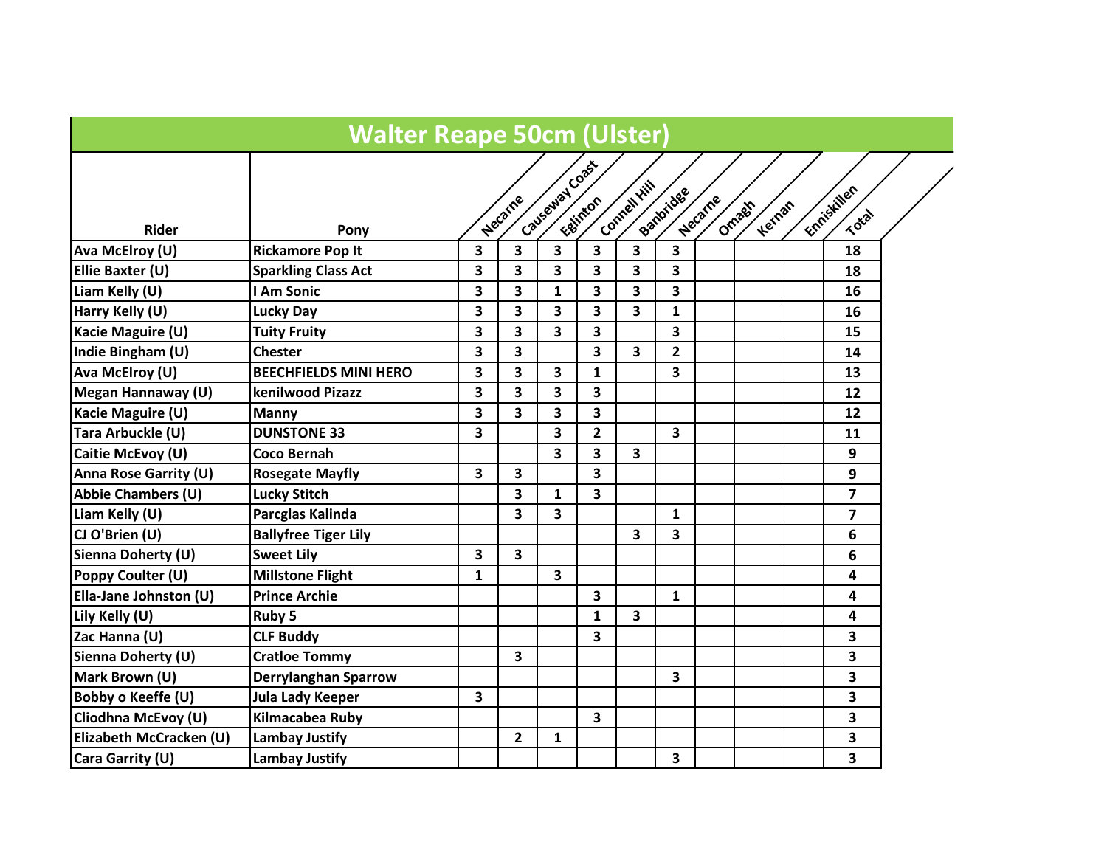|                              | <b>Walter Reape 50cm (Ulster)</b> |   |                         |                         |                         |                         |              |         |                  |                      |  |
|------------------------------|-----------------------------------|---|-------------------------|-------------------------|-------------------------|-------------------------|--------------|---------|------------------|----------------------|--|
| <b>Rider</b>                 | Pony                              |   | <b>Necarne</b>          | Caveaway Coast          | <b>Ealinton</b>         | Connell Hill            | Banbridge    | Necarne | Omages<br>Kernan | Enniskillen<br>Total |  |
| <b>Ava McElroy (U)</b>       | <b>Rickamore Pop It</b>           | 3 | 3                       | 3                       | 3                       | 3                       | 3            |         |                  | 18                   |  |
| <b>Ellie Baxter (U)</b>      | <b>Sparkling Class Act</b>        | 3 | 3                       | 3                       | 3                       | 3                       | 3            |         |                  | 18                   |  |
| Liam Kelly (U)               | I Am Sonic                        | 3 | 3                       | $\mathbf{1}$            | 3                       | 3                       | 3            |         |                  | 16                   |  |
| Harry Kelly (U)              | Lucky Day                         | 3 | 3                       | 3                       | 3                       | 3                       | $\mathbf{1}$ |         |                  | 16                   |  |
| Kacie Maguire (U)            | <b>Tuity Fruity</b>               | 3 | 3                       | $\overline{\mathbf{3}}$ | 3                       |                         | 3            |         |                  | 15                   |  |
| Indie Bingham (U)            | <b>Chester</b>                    | 3 | 3                       |                         | 3                       | 3                       | $\mathbf{2}$ |         |                  | 14                   |  |
| Ava McElroy (U)              | <b>BEECHFIELDS MINI HERO</b>      | 3 | 3                       | 3                       | 1                       |                         | 3            |         |                  | 13                   |  |
| Megan Hannaway (U)           | kenilwood Pizazz                  | 3 | 3                       | $\overline{\mathbf{3}}$ | 3                       |                         |              |         |                  | 12                   |  |
| <b>Kacie Maguire (U)</b>     | <b>Manny</b>                      | 3 | $\overline{\mathbf{3}}$ | 3                       | 3                       |                         |              |         |                  | 12                   |  |
| Tara Arbuckle (U)            | <b>DUNSTONE 33</b>                | 3 |                         | 3                       | $\mathbf{2}$            |                         | 3            |         |                  | 11                   |  |
| Caitie McEvoy (U)            | <b>Coco Bernah</b>                |   |                         | $\overline{\mathbf{3}}$ | $\overline{\mathbf{3}}$ | $\overline{\mathbf{3}}$ |              |         |                  | 9                    |  |
| <b>Anna Rose Garrity (U)</b> | <b>Rosegate Mayfly</b>            | 3 | 3                       |                         | 3                       |                         |              |         |                  | 9                    |  |
| <b>Abbie Chambers (U)</b>    | <b>Lucky Stitch</b>               |   | 3                       | $\mathbf{1}$            | 3                       |                         |              |         |                  | 7                    |  |
| Liam Kelly (U)               | Parcglas Kalinda                  |   | 3                       | 3                       |                         |                         | $\mathbf{1}$ |         |                  | $\overline{7}$       |  |
| CJ O'Brien (U)               | <b>Ballyfree Tiger Lily</b>       |   |                         |                         |                         | 3                       | 3            |         |                  | 6                    |  |
| Sienna Doherty (U)           | <b>Sweet Lily</b>                 | 3 | $\overline{\mathbf{3}}$ |                         |                         |                         |              |         |                  | 6                    |  |
| Poppy Coulter (U)            | <b>Millstone Flight</b>           | 1 |                         | 3                       |                         |                         |              |         |                  | 4                    |  |
| Ella-Jane Johnston (U)       | <b>Prince Archie</b>              |   |                         |                         | 3                       |                         | $\mathbf{1}$ |         |                  | 4                    |  |
| Lily Kelly (U)               | Ruby 5                            |   |                         |                         | 1                       | 3                       |              |         |                  | 4                    |  |
| Zac Hanna (U)                | <b>CLF Buddy</b>                  |   |                         |                         | 3                       |                         |              |         |                  | 3                    |  |
| <b>Sienna Doherty (U)</b>    | <b>Cratloe Tommy</b>              |   | 3                       |                         |                         |                         |              |         |                  | 3                    |  |
| Mark Brown (U)               | <b>Derrylanghan Sparrow</b>       |   |                         |                         |                         |                         | 3            |         |                  | 3                    |  |
| <b>Bobby o Keeffe (U)</b>    | <b>Jula Lady Keeper</b>           | 3 |                         |                         |                         |                         |              |         |                  | 3                    |  |
| Cliodhna McEvoy (U)          | Kilmacabea Ruby                   |   |                         |                         | 3                       |                         |              |         |                  | 3                    |  |
| Elizabeth McCracken (U)      | <b>Lambay Justify</b>             |   | $\overline{2}$          | $\mathbf{1}$            |                         |                         |              |         |                  | 3                    |  |
| Cara Garrity (U)             | Lambay Justify                    |   |                         |                         |                         |                         | 3            |         |                  | 3                    |  |